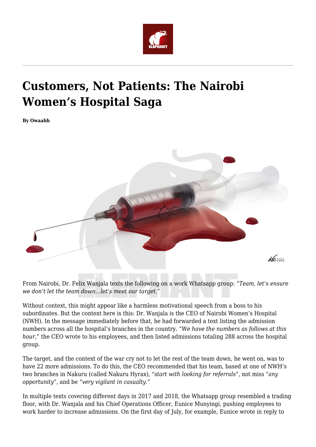

# **Customers, Not Patients: The Nairobi Women's Hospital Saga**

**By Owaahh**



From Nairobi, Dr. Felix Wanjala texts the following on a work Whatsapp group: "*Team, let's ensure we don't let the team down…let's meet our target*."

Without context, this might appear like a harmless motivational speech from a boss to his subordinates. But the context here is this: Dr. Wanjala is the CEO of Nairobi Women's Hospital (NWH). In the message immediately before that, he had forwarded a text listing the admission numbers across all the hospital's branches in the country. "*We have the numbers as follows at this hour*," the CEO wrote to his employees, and then listed admissions totaling 288 across the hospital group.

The target, and the context of the war cry not to let the rest of the team down, he went on, was to have 22 more admissions. To do this, the CEO recommended that his team, based at one of NWH's two branches in Nakuru (called Nakuru Hyrax), *"start with looking for referrals*", not miss *"any opportunity"*, and be "*very vigilant in casualty.*"

In multiple texts covering different days in 2017 and 2018, the Whatsapp group resembled a trading floor, with Dr. Wanjala and his Chief Operations Officer, Eunice Munyingi, pushing employees to work harder to increase admissions. On the first day of July, for example, Eunice wrote in reply to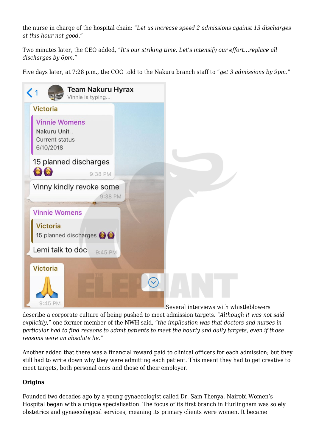the nurse in charge of the hospital chain: "*Let us increase speed 2 admissions against 13 discharges at this hour not good*."

Two minutes later, the CEO added, "*It's our striking time. Let's intensify our effort…replace all discharges by 6pm*."

Five days later, at 7:28 p.m., the COO told to the Nakuru branch staff to "*get 3 admissions by 9pm.*"



Several interviews with whistleblowers

describe a corporate culture of being pushed to meet admission targets. "*Although it was not said explicitly*," one former member of the NWH said, "*the implication was that doctors and nurses in particular had to find reasons to admit patients to meet the hourly and daily targets, even if those reasons were an absolute lie*."

Another added that there was a financial reward paid to clinical officers for each admission; but they still had to write down why they were admitting each patient. This meant they had to get creative to meet targets, both personal ones and those of their employer.

# **Origins**

Founded two decades ago by a young gynaecologist called Dr. Sam Thenya, Nairobi Women's Hospital began with a unique specialisation. The focus of its first branch in Hurlingham was solely obstetrics and gynaecological services, meaning its primary clients were women. It became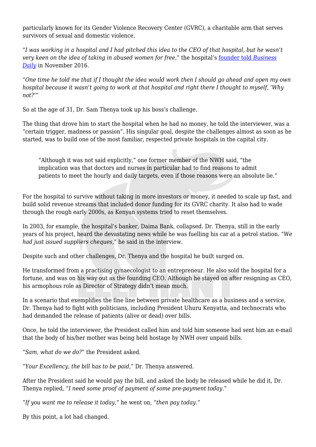particularly known for its Gender Violence Recovery Center (GVRC), a charitable arm that serves survivors of sexual and domestic violence.

"*I was working in a hospital and I had pitched this idea to the CEO of that hospital, but he wasn't very keen on the idea of taking in abused women for free,*" the hospital's [founder told](https://www.businessdailyafrica.com/magazines/Hospital-CEO-talks-money--zeal--silence/1248928-3448082-1lg35jz/index.html) *[Business](https://www.businessdailyafrica.com/magazines/Hospital-CEO-talks-money--zeal--silence/1248928-3448082-1lg35jz/index.html) [Daily](https://www.businessdailyafrica.com/magazines/Hospital-CEO-talks-money--zeal--silence/1248928-3448082-1lg35jz/index.html)* in November 2016.

"*One time he told me that if I thought the idea would work then I should go ahead and open my own hospital because it wasn't going to work at that hospital and right there I thought to myself, 'Why not?'"*

So at the age of 31, Dr. Sam Thenya took up his boss's challenge.

The thing that drove him to start the hospital when he had no money, he told the interviewer, was a "certain trigger, madness or passion". His singular goal, despite the challenges almost as soon as he started, was to build one of the most familiar, respected private hospitals in the capital city.

"Although it was not said explicitly," one former member of the NWH said, "the implication was that doctors and nurses in particular had to find reasons to admit patients to meet the hourly and daily targets, even if those reasons were an absolute lie."

For the hospital to survive without taking in more investors or money, it needed to scale up fast, and build solid revenue streams that included donor funding for its GVRC charity. It also had to wade through the rough early 2000s, as Kenyan systems tried to reset themselves.

In 2003, for example, the hospital's banker, Daima Bank, collapsed. Dr. Thenya, still in the early years of his project, heard the devastating news while he was fuelling his car at a petrol station. "*We had just issued suppliers cheques*," he said in the interview.

Despite such and other challenges, Dr. Thenya and the hospital he built surged on.

He transformed from a practising gynaecologist to an entrepreneur. He also sold the hospital for a fortune, and was on his way out as the founding CEO. Although he stayed on after resigning as CEO, his armophous role as Director of Strategy didn't mean much.

In a scenario that exemplifies the fine line between private healthcare as a business and a service, Dr. Thenya had to fight with politicians, including President Uhuru Kenyatta, and technocrats who had demanded the release of patients (alive or dead) over bills.

Once, he told the interviewer, the President called him and told him someone had sent him an e-mail that the body of his/her mother was being held hostage by NWH over unpaid bills.

"*Sam, what do we do?*" the President asked.

"*Your Excellency, the bill has to be paid,*" Dr. Thenya answered.

After the President said he would pay the bill, and asked the body be released while he did it, Dr. Thenya replied, "*I need some proof of payment of some pre-payment today.*"

"*If you want me to release it today,*" he went on, "*then pay today*."

By this point, a lot had changed.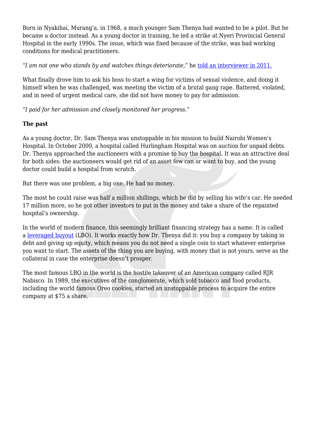Born in Nyakihai, Murang'a, in 1968, a much younger Sam Thenya had wanted to be a pilot. But he became a doctor instead. As a young doctor in training, he led a strike at Nyeri Provincial General Hospital in the early 1990s. The issue, which was fixed because of the strike, was bad working conditions for medical practitioners.

"*I am not one who stands by and watches things deteriorate*," he [told an interviewer in 2011.](https://www.standardmedia.co.ke/article/2000045827/giving-hope-to-abused-women)

What finally drove him to ask his boss to start a wing for victims of sexual violence, and doing it himself when he was challenged, was meeting the victim of a brutal gang rape. Battered, violated, and in need of urgent medical care, she did not have money to pay for admission.

"*I paid for her admission and closely monitored her progress*."

### **The past**

As a young doctor, Dr. Sam Thenya was unstoppable in his mission to build Nairobi Women's Hospital. In October 2000, a hospital called Hurlingham Hospital was on auction for unpaid debts. Dr. Thenya approached the auctioneers with a promise to buy the hospital. It was an attractive deal for both sides: the auctioneers would get rid of an asset few can or want to buy, and the young doctor could build a hospital from scratch.

But there was one problem, a big one. He had no money.

The most he could raise was half a million shillings, which he did by selling his wife's car. He needed 17 million more, so he got other investors to put in the money and take a share of the repainted hospital's ownership.

In the world of modern finance, this seemingly brilliant financing strategy has a name. It is called a [leveraged buyout](https://www.investopedia.com/terms/l/leveragedbuyout.asp) (LBO). It works exactly how Dr. Thenya did it: you buy a company by taking in debt and giving up equity, which means you do not need a single coin to start whatever enterprise you want to start. The assets of the thing you are buying, with money that is not yours, serve as the collateral in case the enterprise doesn't prosper.

The most famous LBO in the world is the hostile takeover of an American company called RJR Nabisco. In 1989, the executives of the conglomerate, which sold tobacco and food products, including the world famous Oreo cookies, started an unstoppable process to acquire the entire company at \$75 a share.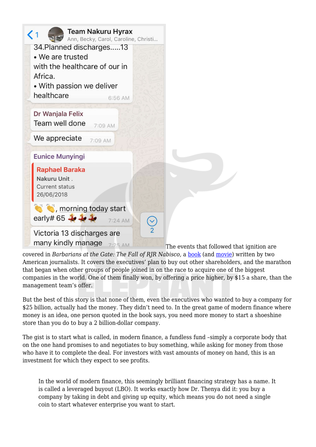

covered in *Barbarians at the Gate: The Fall of RJR Nabisco,* a [book](https://www.amazon.com/Barbarians-Gate-Fall-RJR-Nabisco-ebook/dp/B000FC10QG) (and [movie](https://www.imdb.com/title/tt0106356/)) written by two American journalists. It covers the executives' plan to buy out other shareholders, and the marathon that began when other groups of people joined in on the race to acquire one of the biggest companies in the world. One of them finally won, by offering a price higher, by \$15 a share, than the management team's offer.

But the best of this story is that none of them, even the executives who wanted to buy a company for \$25 billion, actually had the money. They didn't need to. In the great game of modern finance where money is an idea, one person quoted in the book says, you need more money to start a shoeshine store than you do to buy a 2 billion-dollar company.

The gist is to start what is called, in modern finance, a fundless fund –simply a corporate body that on the one hand promises to and negotiates to buy something, while asking for money from those who have it to complete the deal. For investors with vast amounts of money on hand, this is an investment for which they expect to see profits.

In the world of modern finance, this seemingly brilliant financing strategy has a name. It is called a leveraged buyout (LBO). It works exactly how Dr. Thenya did it: you buy a company by taking in debt and giving up equity, which means you do not need a single coin to start whatever enterprise you want to start.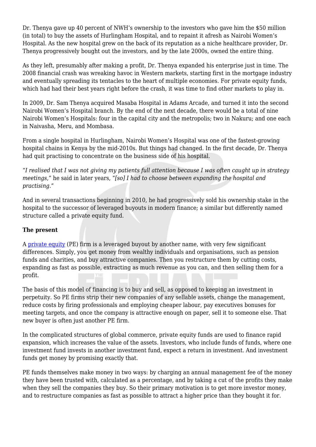Dr. Thenya gave up 40 percent of NWH's ownership to the investors who gave him the \$50 million (in total) to buy the assets of Hurlingham Hospital, and to repaint it afresh as Nairobi Women's Hospital. As the new hospital grew on the back of its reputation as a niche healthcare provider, Dr. Thenya progressively bought out the investors, and by the late 2000s, owned the entire thing.

As they left, presumably after making a profit, Dr. Thenya expanded his enterprise just in time. The 2008 financial crash was wreaking havoc in Western markets, starting first in the mortgage industry and eventually spreading its tentacles to the heart of multiple economies. For private equity funds, which had had their best years right before the crash, it was time to find other markets to play in.

In 2009, Dr. Sam Thenya acquired Masaba Hospital in Adams Arcade, and turned it into the second Nairobi Women's Hospital branch. By the end of the next decade, there would be a total of nine Nairobi Women's Hospitals: four in the capital city and the metropolis; two in Nakuru; and one each in Naivasha, Meru, and Mombasa.

From a single hospital in Hurlingham, Nairobi Women's Hospital was one of the fastest-growing hospital chains in Kenya by the mid-2010s. But things had changed. In the first decade, Dr. Thenya had quit practising to concentrate on the business side of his hospital.

"*I realised that I was not giving my patients full attention because I was often caught up in strategy meetings,*" he said in later years, "*[so] I had to choose between expanding the hospital and practising*."

And in several transactions beginning in 2010, he had progressively sold his ownership stake in the hospital to the successor of leveraged buyouts in modern finance; a similar but differently named structure called a private equity fund.

# **The present**

A [private equity](https://www.investopedia.com/articles/financial-careers/09/private-equity.asp) (PE) firm is a leveraged buyout by another name, with very few significant differences. Simply, you get money from wealthy individuals and organisations, such as pension funds and charities, and buy attractive companies. Then you restructure them by cutting costs, expanding as fast as possible, extracting as much revenue as you can, and then selling them for a profit.

The basis of this model of financing is to buy and sell, as opposed to keeping an investment in perpetuity. So PE firms strip their new companies of any sellable assets, change the management, reduce costs by firing professionals and employing cheaper labour, pay executives bonuses for meeting targets, and once the company is attractive enough on paper, sell it to someone else. That new buyer is often just another PE firm.

In the complicated structures of global commerce, private equity funds are used to finance rapid expansion, which increases the value of the assets. Investors, who include funds of funds, where one investment fund invests in another investment fund, expect a return in investment. And investment funds get money by promising exactly that.

PE funds themselves make money in two ways: by charging an annual management fee of the money they have been trusted with, calculated as a percentage, and by taking a cut of the profits they make when they sell the companies they buy. So their primary motivation is to get more investor money, and to restructure companies as fast as possible to attract a higher price than they bought it for.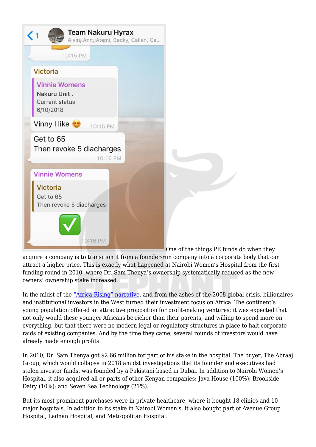

acquire a company is to transition it from a founder-run company into a corporate body that can attract a higher price. This is exactly what happened at Nairobi Women's Hospital from the first funding round in 2010, where Dr. Sam Thenya's ownership systematically reduced as the new owners' ownership stake increased.

In the midst of the ["Africa Rising" narrative,](https://www.tandfonline.com/doi/full/10.1080/21622671.2017.1318714) and from the ashes of the 2008 global crisis, billionaires and institutional investors in the West turned their investment focus on Africa. The continent's young population offered an attractive proposition for profit-making ventures; it was expected that not only would these younger Africans be richer than their parents, and willing to spend more on everything, but that there were no modern legal or regulatory structures in place to halt corporate raids of existing companies. And by the time they came, several rounds of investors would have already made enough profits.

In 2010, Dr. Sam Thenya got \$2.66 million for part of his stake in the hospital. The buyer, The Abraaj Group, which would collapse in 2018 amidst investigations that its founder and executives had stolen investor funds, was founded by a Pakistani based in Dubai. In addition to Nairobi Women's Hospital, it also acquired all or parts of other Kenyan companies: Java House (100%); Brookside Dairy (10%); and Seven Sea Technology (21%).

But its most prominent purchases were in private healthcare, where it bought 18 clinics and 10 major hospitals. In addition to its stake in Nairobi Women's, it also bought part of Avenue Group Hospital, Ladnan Hospital, and Metropolitan Hospital.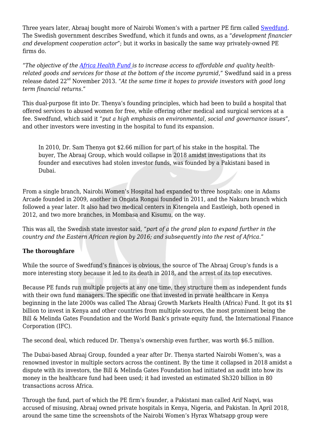Three years later, Abraaj bought more of Nairobi Women's with a partner PE firm called [Swedfund.](https://www.swedfund.se/en) The Swedish government describes Swedfund, which it funds and owns, as a "*development financier and development cooperation actor*"; but it works in basically the same way privately-owned PE firms do.

"*The objective of the [Africa Health Fund i](http://www.mynewsdesk.com/swedfund/pressreleases/swedfund-invests-in-nairobi-womens-hospital-largest-investment-in-private-health-care-in-kenya-2013-1016164)s to increase access to affordable and quality healthrelated goods and services for those at the bottom of the income pyramid*," Swedfund said in a press release dated 22nd November 2013. "*At the same time it hopes to provide investors with good long term financial returns.*"

This dual-purpose fit into Dr. Thenya's founding principles, which had been to build a hospital that offered services to abused women for free, while offering other medical and surgical services at a fee. Swedfund, which said it "*put a high emphasis on environmental, social and governance issues*", and other investors were investing in the hospital to fund its expansion.

In 2010, Dr. Sam Thenya got \$2.66 million for part of his stake in the hospital. The buyer, The Abraaj Group, which would collapse in 2018 amidst investigations that its founder and executives had stolen investor funds, was founded by a Pakistani based in Dubai.

From a single branch, Nairobi Women's Hospital had expanded to three hospitals: one in Adams Arcade founded in 2009, another in Ongata Rongai founded in 2011, and the Nakuru branch which followed a year later. It also had two medical centers in Kitengela and Eastleigh, both opened in 2012, and two more branches, in Mombasa and Kisumu, on the way.

This was all, the Swedish state investor said, "*part of a the grand plan to expand further in the country and the Eastern African region by 2016; and subsequently into the rest of Africa*."

# **The thoroughfare**

While the source of Swedfund's finances is obvious, the source of The Abraaj Group's funds is a more interesting story because it led to its death in 2018, and the arrest of its top executives.

Because PE funds run multiple projects at any one time, they structure them as independent funds with their own fund managers. The specific one that invested in private healthcare in Kenya beginning in the late 2000s was called The Abraaj Growth Markets Health (Africa) Fund. It got its \$1 billion to invest in Kenya and other countries from multiple sources, the most prominent being the Bill & Melinda Gates Foundation and the World Bank's private equity fund, the International Finance Corporation (IFC).

The second deal, which reduced Dr. Thenya's ownership even further, was worth \$6.5 million.

The Dubai-based Abraaj Group, founded a year after Dr. Thenya started Nairobi Women's, was a renowned investor in multiple sectors across the continent. By the time it collapsed in 2018 amidst a dispute with its investors, the Bill & Melinda Gates Foundation had initiated an audit into how its money in the healthcare fund had been used; it had invested an estimated Sh320 billion in 80 transactions across Africa.

Through the fund, part of which the PE firm's founder, a Pakistani man called Arif Naqvi, was accused of misusing, Abraaj owned private hospitals in Kenya, Nigeria, and Pakistan. In April 2018, around the same time the screenshots of the Nairobi Women's Hyrax Whatsapp group were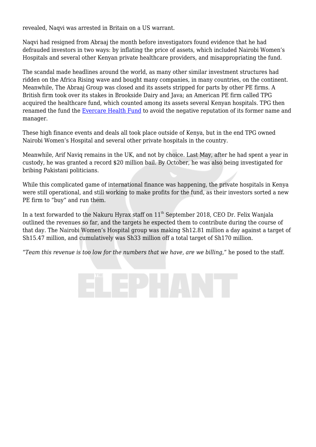revealed, Naqvi was arrested in Britain on a US warrant.

Naqvi had resigned from Abraaj the month before investigators found evidence that he had defrauded investors in two ways: by inflating the price of assets, which included Nairobi Women's Hospitals and several other Kenyan private healthcare providers, and misappropriating the fund.

The scandal made headlines around the world, as many other similar investment structures had ridden on the Africa Rising wave and bought many companies, in many countries, on the continent. Meanwhile, The Abraaj Group was closed and its assets stripped for parts by other PE firms. A British firm took over its stakes in Brookside Dairy and Java; an American PE firm called TPG acquired the healthcare fund, which counted among its assets several Kenyan hospitals. TPG then renamed the fund the [Evercare Health Fund](https://www.cdcgroup.com/en/our-investments/fund/abraaj-growth-markets-health-fund/) to avoid the negative reputation of its former name and manager.

These high finance events and deals all took place outside of Kenya, but in the end TPG owned Nairobi Women's Hospital and several other private hospitals in the country.

Meanwhile, Arif Naviq remains in the UK, and not by choice. Last May, after he had spent a year in custody, he was granted a record \$20 million bail. By October, he was also being investigated for bribing Pakistani politicians.

While this complicated game of international finance was happening, the private hospitals in Kenya were still operational, and still working to make profits for the fund, as their investors sorted a new PE firm to "buy" and run them.

In a text forwarded to the Nakuru Hyrax staff on 11<sup>th</sup> September 2018, CEO Dr. Felix Wanjala outlined the revenues so far, and the targets he expected them to contribute during the course of that day. The Nairobi Women's Hospital group was making Sh12.81 million a day against a target of Sh15.47 million, and cumulatively was Sh33 million off a total target of Sh170 million.

"*Team this revenue is too low for the numbers that we have, are we billing*," he posed to the staff.

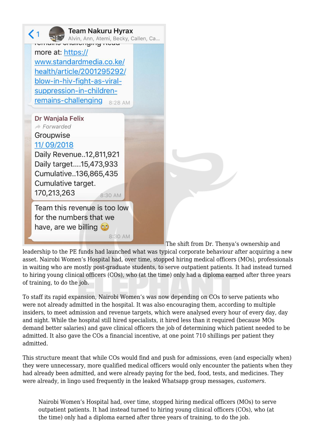

The shift from Dr. Thenya's ownership and

leadership to the PE funds had launched what was typical corporate behaviour after acquiring a new asset. Nairobi Women's Hospital had, over time, stopped hiring medical officers (MOs), professionals in waiting who are mostly post-graduate students, to serve outpatient patients. It had instead turned to hiring young clinical officers (COs), who (at the time) only had a diploma earned after three years of training, to do the job.

To staff its rapid expansion, Nairobi Women's was now depending on COs to serve patients who were not already admitted in the hospital. It was also encouraging them, according to multiple insiders, to meet admission and revenue targets, which were analysed every hour of every day, day and night. While the hospital still hired specialists, it hired less than it required (because MOs demand better salaries) and gave clinical officers the job of determining which patient needed to be admitted. It also gave the COs a financial incentive, at one point 710 shillings per patient they admitted.

This structure meant that while COs would find and push for admissions, even (and especially when) they were unnecessary, more qualified medical officers would only encounter the patients when they had already been admitted, and were already paying for the bed, food, tests, and medicines. They were already, in lingo used frequently in the leaked Whatsapp group messages, *customers*.

Nairobi Women's Hospital had, over time, stopped hiring medical officers (MOs) to serve outpatient patients. It had instead turned to hiring young clinical officers (COs), who (at the time) only had a diploma earned after three years of training, to do the job.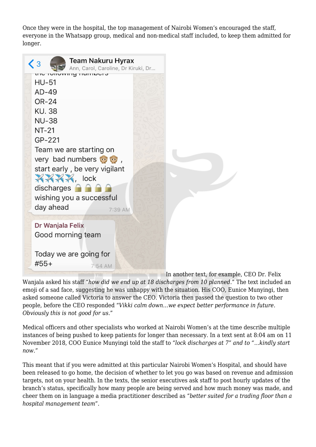Once they were in the hospital, the top management of Nairobi Women's encouraged the staff, everyone in the Whatsapp group, medical and non-medical staff included, to keep them admitted for longer.

| Team Nakuru Hyrax<br>$\langle 3$<br>Ann, Carol, Caroline, Dr Kiruki, Dr                                                                                                                                                                                                              |                                             |
|--------------------------------------------------------------------------------------------------------------------------------------------------------------------------------------------------------------------------------------------------------------------------------------|---------------------------------------------|
| ט ושחוווטו פו<br>HU-51<br>$AD-49$<br>OR-24<br>KU. 38<br><b>NU-38</b><br>NT-21<br>GP-221<br>Team we are starting on<br>very bad numbers (a) (b),<br>start early, be very vigilant<br>$\mathbb{X} \mathbb{X} \mathbb{X}$ , lock<br>discharges <b>A A A</b><br>wishing you a successful |                                             |
| day ahead<br>7:39 AM<br>Dr Wanjala Felix<br>Good morning team                                                                                                                                                                                                                        |                                             |
| Today we are going for<br>#55+<br>7:54 AM                                                                                                                                                                                                                                            | In another text, for example, CEO Dr. Felix |

Wanjala asked his staff "*how did we end up at 18 discharges from 10 planned*." The text included an emoji of a sad face, suggesting he was unhappy with the situation. His COO, Eunice Munyingi, then asked someone called Victoria to answer the CEO. Victoria then passed the question to two other people, before the CEO responded "*Vikki calm down…we expect better performance in future. Obviously this is not good for us*."

Medical officers and other specialists who worked at Nairobi Women's at the time describe multiple instances of being pushed to keep patients for longer than necessary. In a text sent at 8:04 am on 11 November 2018, COO Eunice Munyingi told the staff to "*lock discharges at 7" and to "…kindly start now.*"

This meant that if you were admitted at this particular Nairobi Women's Hospital, and should have been released to go home, the decision of whether to let you go was based on revenue and admission targets, not on your health. In the texts, the senior executives ask staff to post hourly updates of the branch's status, specifically how many people are being served and how much money was made, and cheer them on in language a media practitioner described as "*better suited for a trading floor than a hospital management team*".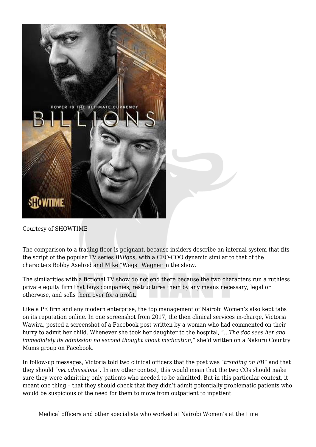

Courtesy of SHOWTIME

The comparison to a trading floor is poignant, because insiders describe an internal system that fits the script of the popular TV series *Billions,* with a CEO-COO dynamic similar to that of the characters Bobby Axelrod and Mike "Wags" Wagner in the show.

The similarities with a fictional TV show do not end there because the two characters run a ruthless private equity firm that buys companies, restructures them by any means necessary, legal or otherwise, and sells them over for a profit.

Like a PE firm and any modern enterprise, the top management of Nairobi Women's also kept tabs on its reputation online. In one screenshot from 2017, the then clinical services in-charge, Victoria Wawira, posted a screenshot of a Facebook post written by a woman who had commented on their hurry to admit her child. Whenever she took her daughter to the hospital, "…*The doc sees her and immediately its admission no second thought about medication*," she'd written on a Nakuru Country Mums group on Facebook.

In follow-up messages, Victoria told two clinical officers that the post was "*trending on FB*" and that they should "*vet admissions*". In any other context, this would mean that the two COs should make sure they were admitting only patients who needed to be admitted. But in this particular context, it meant one thing – that they should check that they didn't admit potentially problematic patients who would be suspicious of the need for them to move from outpatient to inpatient.

Medical officers and other specialists who worked at Nairobi Women's at the time